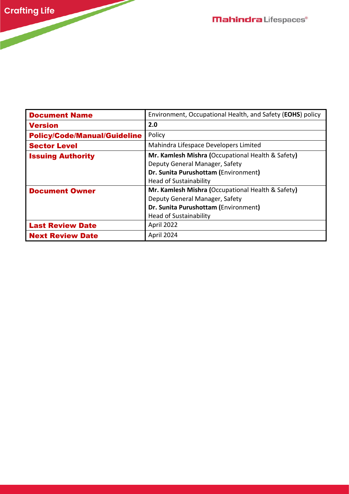| <b>Document Name</b>                | Environment, Occupational Health, and Safety (EOHS) policy |
|-------------------------------------|------------------------------------------------------------|
| <b>Version</b>                      | 2.0                                                        |
| <b>Policy/Code/Manual/Guideline</b> | Policy                                                     |
| <b>Sector Level</b>                 | Mahindra Lifespace Developers Limited                      |
| <b>Issuing Authority</b>            | Mr. Kamlesh Mishra (Occupational Health & Safety)          |
|                                     | Deputy General Manager, Safety                             |
|                                     | Dr. Sunita Purushottam (Environment)                       |
|                                     | <b>Head of Sustainability</b>                              |
| <b>Document Owner</b>               | Mr. Kamlesh Mishra (Occupational Health & Safety)          |
|                                     | Deputy General Manager, Safety                             |
|                                     | Dr. Sunita Purushottam (Environment)                       |
|                                     | <b>Head of Sustainability</b>                              |
| <b>Last Review Date</b>             | April 2022                                                 |
| <b>Next Review Date</b>             | April 2024                                                 |